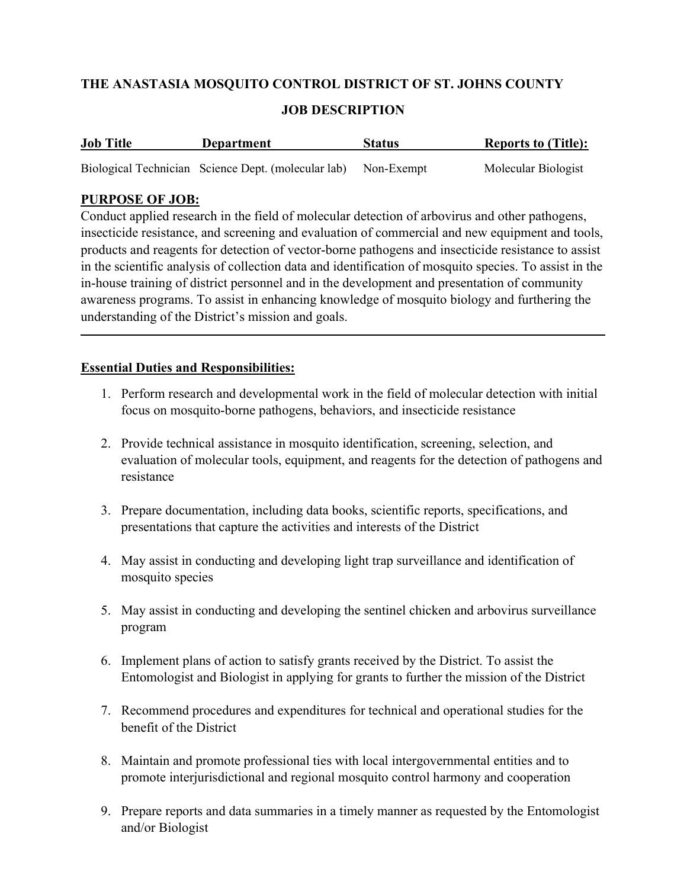# THE ANASTASIA MOSQUITO CONTROL DISTRICT OF ST. JOHNS COUNTY

### JOB DESCRIPTION

| <b>Job Title</b> | Department                                                     | <b>Status</b> | <b>Reports to (Title):</b> |
|------------------|----------------------------------------------------------------|---------------|----------------------------|
|                  | Biological Technician Science Dept. (molecular lab) Non-Exempt |               | Molecular Biologist        |

### PURPOSE OF JOB:

Conduct applied research in the field of molecular detection of arbovirus and other pathogens, insecticide resistance, and screening and evaluation of commercial and new equipment and tools, products and reagents for detection of vector-borne pathogens and insecticide resistance to assist in the scientific analysis of collection data and identification of mosquito species. To assist in the in-house training of district personnel and in the development and presentation of community awareness programs. To assist in enhancing knowledge of mosquito biology and furthering the understanding of the District's mission and goals.

### Essential Duties and Responsibilities:

- 1. Perform research and developmental work in the field of molecular detection with initial focus on mosquito-borne pathogens, behaviors, and insecticide resistance
- 2. Provide technical assistance in mosquito identification, screening, selection, and evaluation of molecular tools, equipment, and reagents for the detection of pathogens and resistance
- 3. Prepare documentation, including data books, scientific reports, specifications, and presentations that capture the activities and interests of the District
- 4. May assist in conducting and developing light trap surveillance and identification of mosquito species
- 5. May assist in conducting and developing the sentinel chicken and arbovirus surveillance program
- 6. Implement plans of action to satisfy grants received by the District. To assist the Entomologist and Biologist in applying for grants to further the mission of the District
- 7. Recommend procedures and expenditures for technical and operational studies for the benefit of the District
- 8. Maintain and promote professional ties with local intergovernmental entities and to promote interjurisdictional and regional mosquito control harmony and cooperation
- 9. Prepare reports and data summaries in a timely manner as requested by the Entomologist and/or Biologist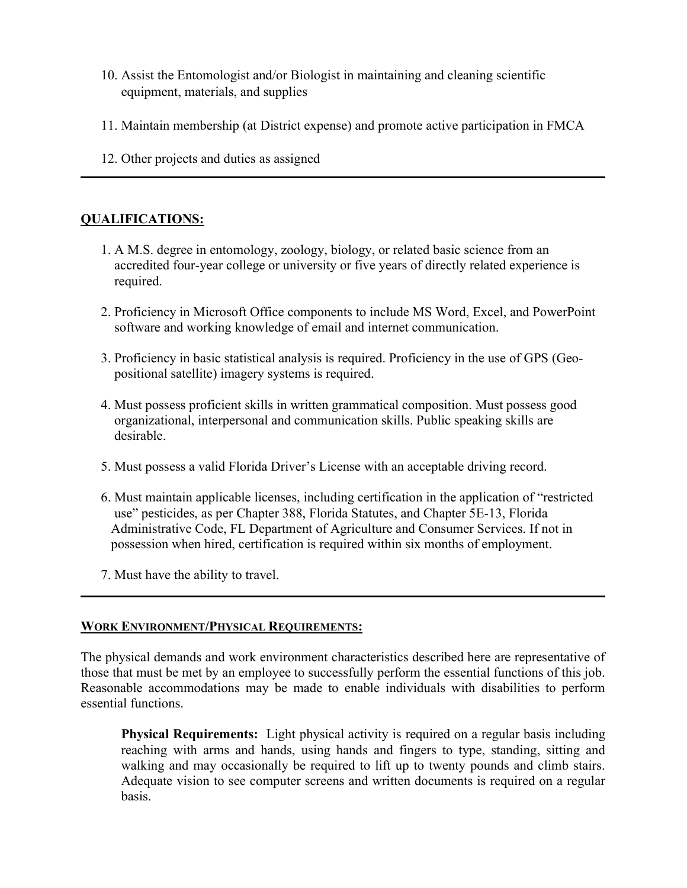- 10. Assist the Entomologist and/or Biologist in maintaining and cleaning scientific equipment, materials, and supplies
- 11. Maintain membership (at District expense) and promote active participation in FMCA
- 12. Other projects and duties as assigned

### QUALIFICATIONS:

- 1. A M.S. degree in entomology, zoology, biology, or related basic science from an accredited four-year college or university or five years of directly related experience is required.
- 2. Proficiency in Microsoft Office components to include MS Word, Excel, and PowerPoint software and working knowledge of email and internet communication.
- 3. Proficiency in basic statistical analysis is required. Proficiency in the use of GPS (Geo positional satellite) imagery systems is required.
- 4. Must possess proficient skills in written grammatical composition. Must possess good organizational, interpersonal and communication skills. Public speaking skills are desirable.
- 5. Must possess a valid Florida Driver's License with an acceptable driving record.
- 6. Must maintain applicable licenses, including certification in the application of "restricted use" pesticides, as per Chapter 388, Florida Statutes, and Chapter 5E-13, Florida Administrative Code, FL Department of Agriculture and Consumer Services. If not in possession when hired, certification is required within six months of employment.
- 7. Must have the ability to travel.

#### WORK ENVIRONMENT/PHYSICAL REQUIREMENTS:

The physical demands and work environment characteristics described here are representative of those that must be met by an employee to successfully perform the essential functions of this job. Reasonable accommodations may be made to enable individuals with disabilities to perform essential functions.

Physical Requirements: Light physical activity is required on a regular basis including reaching with arms and hands, using hands and fingers to type, standing, sitting and walking and may occasionally be required to lift up to twenty pounds and climb stairs. Adequate vision to see computer screens and written documents is required on a regular basis.